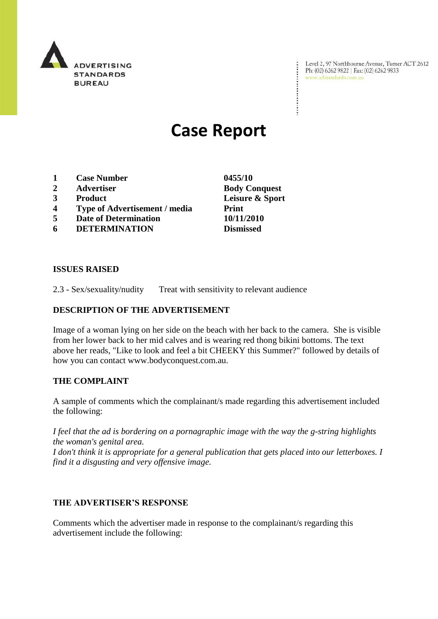

Level 2, 97 Northbourne Avenue, Turner ACT 2612<br>Ph: (02) 6262 9822 | Fax: (02) 6262 9833<br>www.adstandards.com.au

# **Case Report**

- **1 Case Number 0455/10**
- **2 Advertiser Body Conquest**
- 
- **4 Type of Advertisement / media Print**
- **5 Date of Determination 10/11/2010**
- **6 DETERMINATION Dismissed**

**ISSUES RAISED**

2.3 - Sex/sexuality/nudity Treat with sensitivity to relevant audience

### **DESCRIPTION OF THE ADVERTISEMENT**

Image of a woman lying on her side on the beach with her back to the camera. She is visible from her lower back to her mid calves and is wearing red thong bikini bottoms. The text above her reads, "Like to look and feel a bit CHEEKY this Summer?" followed by details of how you can contact www.bodyconquest.com.au.

### **THE COMPLAINT**

A sample of comments which the complainant/s made regarding this advertisement included the following:

*I feel that the ad is bordering on a pornagraphic image with the way the g-string highlights the woman's genital area.* 

*I don't think it is appropriate for a general publication that gets placed into our letterboxes. I find it a disgusting and very offensive image.* 

### **THE ADVERTISER'S RESPONSE**

Comments which the advertiser made in response to the complainant/s regarding this advertisement include the following:

**3 Product Leisure & Sport**

÷